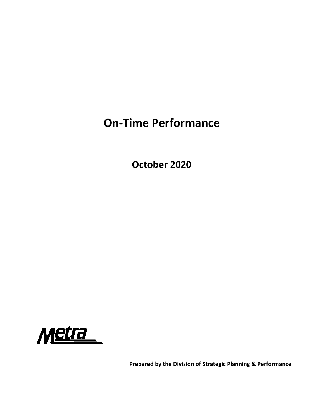## **On‐Time Performance**

**October 2020**



**Prepared by the Division of Strategic Planning & Performance**